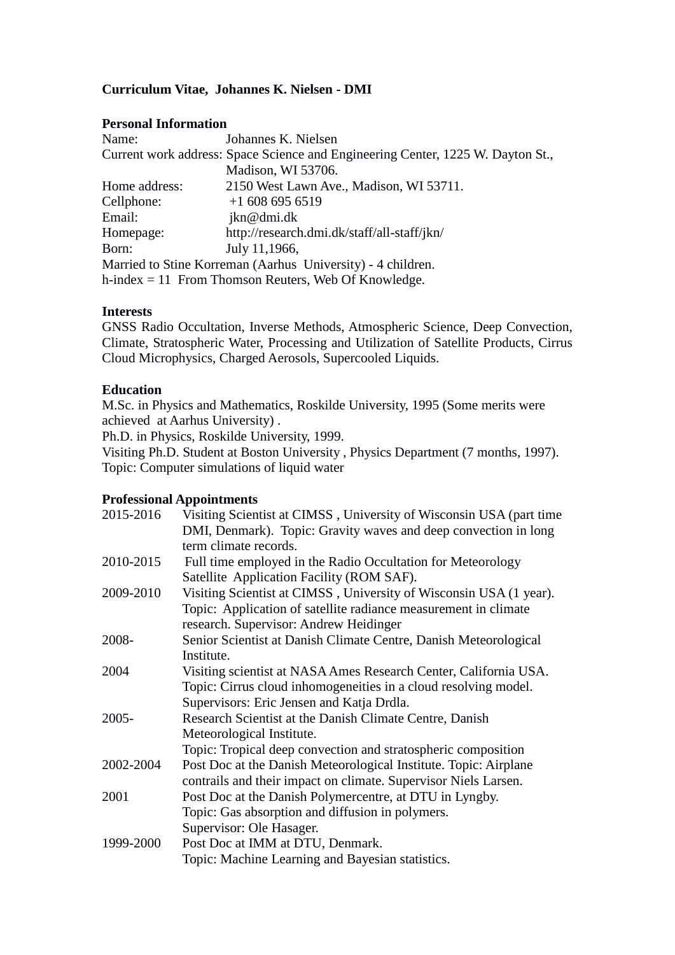# **Curriculum Vitae, Johannes K. Nielsen - DMI**

### **Personal Information**

| Name:                                                  | Johannes K. Nielsen                                                             |  |
|--------------------------------------------------------|---------------------------------------------------------------------------------|--|
|                                                        | Current work address: Space Science and Engineering Center, 1225 W. Dayton St., |  |
|                                                        | Madison, WI 53706.                                                              |  |
| Home address:                                          | 2150 West Lawn Ave., Madison, WI 53711.                                         |  |
| Cellphone:                                             | $+16086956519$                                                                  |  |
| Email:                                                 | jkn@dmi.dk                                                                      |  |
| Homepage:                                              | http://research.dmi.dk/staff/all-staff/jkn/                                     |  |
| Born:                                                  | July 11,1966,                                                                   |  |
|                                                        | Married to Stine Korreman (Aarhus University) - 4 children.                     |  |
| h-index $= 11$ From Thomson Reuters, Web Of Knowledge. |                                                                                 |  |

### **Interests**

GNSS Radio Occultation, Inverse Methods, Atmospheric Science, Deep Convection, Climate, Stratospheric Water, Processing and Utilization of Satellite Products, Cirrus Cloud Microphysics, Charged Aerosols, Supercooled Liquids.

### **Education**

M.Sc. in Physics and Mathematics, Roskilde University, 1995 (Some merits were achieved at Aarhus University) .

Ph.D. in Physics, Roskilde University, 1999.

Visiting Ph.D. Student at Boston University , Physics Department (7 months, 1997). Topic: Computer simulations of liquid water

## **Professional Appointments**

| 2015-2016 | Visiting Scientist at CIMSS, University of Wisconsin USA (part time |
|-----------|---------------------------------------------------------------------|
|           | DMI, Denmark). Topic: Gravity waves and deep convection in long     |
|           | term climate records.                                               |
| 2010-2015 | Full time employed in the Radio Occultation for Meteorology         |
|           | Satellite Application Facility (ROM SAF).                           |
| 2009-2010 | Visiting Scientist at CIMSS, University of Wisconsin USA (1 year).  |
|           | Topic: Application of satellite radiance measurement in climate     |
|           | research. Supervisor: Andrew Heidinger                              |
| 2008-     | Senior Scientist at Danish Climate Centre, Danish Meteorological    |
|           | Institute.                                                          |
| 2004      | Visiting scientist at NASA Ames Research Center, California USA.    |
|           | Topic: Cirrus cloud inhomogeneities in a cloud resolving model.     |
|           | Supervisors: Eric Jensen and Katja Drdla.                           |
| $2005 -$  | Research Scientist at the Danish Climate Centre, Danish             |
|           | Meteorological Institute.                                           |
|           | Topic: Tropical deep convection and stratospheric composition       |
| 2002-2004 | Post Doc at the Danish Meteorological Institute. Topic: Airplane    |
|           | contrails and their impact on climate. Supervisor Niels Larsen.     |
| 2001      | Post Doc at the Danish Polymercentre, at DTU in Lyngby.             |
|           | Topic: Gas absorption and diffusion in polymers.                    |
|           | Supervisor: Ole Hasager.                                            |
| 1999-2000 | Post Doc at IMM at DTU, Denmark.                                    |
|           | Topic: Machine Learning and Bayesian statistics.                    |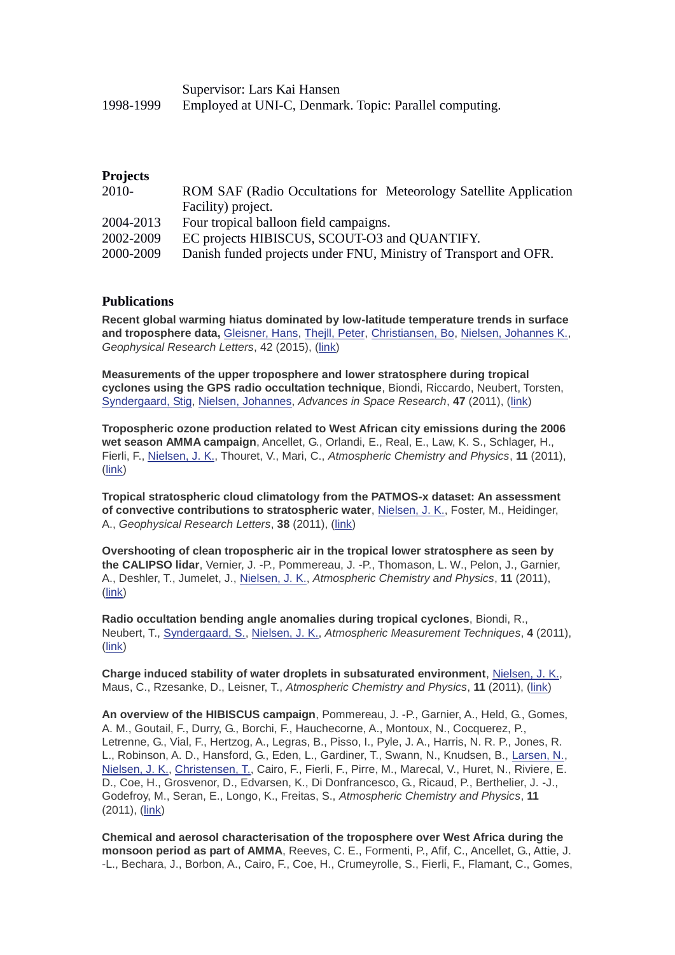|           | Supervisor: Lars Kai Hansen                            |
|-----------|--------------------------------------------------------|
| 1998-1999 | Employed at UNI-C, Denmark. Topic: Parallel computing. |

#### **Projects**

| $2010-$   | ROM SAF (Radio Occultations for Meteorology Satellite Application |
|-----------|-------------------------------------------------------------------|
|           | Facility) project.                                                |
| 2004-2013 | Four tropical balloon field campaigns.                            |
| 2002-2009 | EC projects HIBISCUS, SCOUT-O3 and QUANTIFY.                      |
| 2000-2009 | Danish funded projects under FNU, Ministry of Transport and OFR.  |

#### **Publications**

**Recent global warming hiatus dominated by low-latitude temperature trends in surface and troposphere data,** [Gleisner, Hans,](http://research.dmi.dk/staff/all-staff/hgl/) [Thejll, Peter,](http://research.dmi.dk/staff/all-staff/pth/) [Christiansen, Bo,](http://research.dmi.dk/staff/all-staff/boc/) [Nielsen, Johannes K.,](http://research.dmi.dk/staff/all-staff/jkn/) *Geophysical Research Letters*, 42 (2015), [\(link\)](http://dx.doi.org/10.1002/2014GL062596)

**Measurements of the upper troposphere and lower stratosphere during tropical cyclones using the GPS radio occultation technique**, Biondi, Riccardo, Neubert, Torsten, [Syndergaard, Stig,](http://research.dmi.dk/staff/all-staff/ssy/) [Nielsen, Johannes,](http://research.dmi.dk/staff/all-staff/jkn/) *Advances in Space Research*, **47** (2011), [\(link\)](http://dx.doi.org/10.1016/j.asr.2010.05.031)

**Tropospheric ozone production related to West African city emissions during the 2006 wet season AMMA campaign**, Ancellet, G., Orlandi, E., Real, E., Law, K. S., Schlager, H., Fierli, F., [Nielsen, J. K.,](http://research.dmi.dk/staff/all-staff/jkn/) Thouret, V., Mari, C., *Atmospheric Chemistry and Physics*, **11** (2011), [\(link\)](http://dx.doi.org/10.5194/acp-11-6349-2011)

**Tropical stratospheric cloud climatology from the PATMOS-x dataset: An assessment of convective contributions to stratospheric water**, [Nielsen, J. K.,](http://research.dmi.dk/staff/all-staff/jkn/) Foster, M., Heidinger, A., *Geophysical Research Letters*, **38** (2011), [\(link\)](http://dx.doi.org/10.1029/2011GL049429)

**Overshooting of clean tropospheric air in the tropical lower stratosphere as seen by the CALIPSO lidar**, Vernier, J. -P., Pommereau, J. -P., Thomason, L. W., Pelon, J., Garnier, A., Deshler, T., Jumelet, J., [Nielsen, J. K.,](http://research.dmi.dk/staff/all-staff/jkn/) *Atmospheric Chemistry and Physics*, **11** (2011), [\(link\)](http://dx.doi.org/10.5194/acp-11-9683-2011)

**Radio occultation bending angle anomalies during tropical cyclones**, Biondi, R., Neubert, T., [Syndergaard, S.,](http://research.dmi.dk/staff/all-staff/ssy/) [Nielsen, J. K.,](http://research.dmi.dk/staff/all-staff/jkn/) *Atmospheric Measurement Techniques*, **4** (2011), [\(link\)](http://dx.doi.org/10.5194/amt-4-1053-2011)

**Charge induced stability of water droplets in subsaturated environment**, [Nielsen, J. K.,](http://research.dmi.dk/staff/all-staff/jkn/) Maus, C., Rzesanke, D., Leisner, T., *Atmospheric Chemistry and Physics*, **11** (2011), [\(link\)](http://dx.doi.org/10.5194/acp-11-2031-2011)

**An overview of the HIBISCUS campaign**, Pommereau, J. -P., Garnier, A., Held, G., Gomes, A. M., Goutail, F., Durry, G., Borchi, F., Hauchecorne, A., Montoux, N., Cocquerez, P., Letrenne, G., Vial, F., Hertzog, A., Legras, B., Pisso, I., Pyle, J. A., Harris, N. R. P., Jones, R. L., Robinson, A. D., Hansford, G., Eden, L., Gardiner, T., Swann, N., Knudsen, B., [Larsen, N.,](http://research.dmi.dk/staff/all-staff/nl/) [Nielsen, J. K.,](http://research.dmi.dk/staff/all-staff/jkn/) [Christensen, T.,](http://research.dmi.dk/staff/all-staff/tic/) Cairo, F., Fierli, F., Pirre, M., Marecal, V., Huret, N., Riviere, E. D., Coe, H., Grosvenor, D., Edvarsen, K., Di Donfrancesco, G., Ricaud, P., Berthelier, J. -J., Godefroy, M., Seran, E., Longo, K., Freitas, S., *Atmospheric Chemistry and Physics*, **11** (2011), [\(link\)](http://dx.doi.org/10.5194/acp-11-2309-2011)

**Chemical and aerosol characterisation of the troposphere over West Africa during the monsoon period as part of AMMA**, Reeves, C. E., Formenti, P., Afif, C., Ancellet, G., Attie, J. -L., Bechara, J., Borbon, A., Cairo, F., Coe, H., Crumeyrolle, S., Fierli, F., Flamant, C., Gomes,